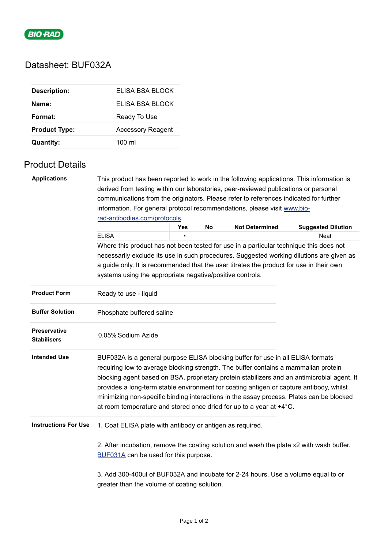

## Datasheet: BUF032A

| <b>Description:</b>  | ELISA BSA BLOCK          |
|----------------------|--------------------------|
| Name:                | FLISA BSA BLOCK          |
| Format:              | Ready To Use             |
| <b>Product Type:</b> | <b>Accessory Reagent</b> |
| <b>Quantity:</b>     | $100 \mathrm{m}$         |

## Product Details

| <b>Applications</b>                | This product has been reported to work in the following applications. This information is                                                                                                                                                                                                                                                                                                                                                                                                                                           |     |    |                       |                           |  |  |  |
|------------------------------------|-------------------------------------------------------------------------------------------------------------------------------------------------------------------------------------------------------------------------------------------------------------------------------------------------------------------------------------------------------------------------------------------------------------------------------------------------------------------------------------------------------------------------------------|-----|----|-----------------------|---------------------------|--|--|--|
|                                    | derived from testing within our laboratories, peer-reviewed publications or personal                                                                                                                                                                                                                                                                                                                                                                                                                                                |     |    |                       |                           |  |  |  |
|                                    | communications from the originators. Please refer to references indicated for further                                                                                                                                                                                                                                                                                                                                                                                                                                               |     |    |                       |                           |  |  |  |
|                                    | information. For general protocol recommendations, please visit www.bio-                                                                                                                                                                                                                                                                                                                                                                                                                                                            |     |    |                       |                           |  |  |  |
|                                    | rad-antibodies.com/protocols.                                                                                                                                                                                                                                                                                                                                                                                                                                                                                                       |     |    |                       |                           |  |  |  |
|                                    |                                                                                                                                                                                                                                                                                                                                                                                                                                                                                                                                     | Yes | No | <b>Not Determined</b> | <b>Suggested Dilution</b> |  |  |  |
|                                    | <b>ELISA</b>                                                                                                                                                                                                                                                                                                                                                                                                                                                                                                                        |     |    |                       | Neat                      |  |  |  |
|                                    | Where this product has not been tested for use in a particular technique this does not                                                                                                                                                                                                                                                                                                                                                                                                                                              |     |    |                       |                           |  |  |  |
|                                    | necessarily exclude its use in such procedures. Suggested working dilutions are given as<br>a guide only. It is recommended that the user titrates the product for use in their own                                                                                                                                                                                                                                                                                                                                                 |     |    |                       |                           |  |  |  |
|                                    |                                                                                                                                                                                                                                                                                                                                                                                                                                                                                                                                     |     |    |                       |                           |  |  |  |
|                                    | systems using the appropriate negative/positive controls.                                                                                                                                                                                                                                                                                                                                                                                                                                                                           |     |    |                       |                           |  |  |  |
| <b>Product Form</b>                | Ready to use - liquid                                                                                                                                                                                                                                                                                                                                                                                                                                                                                                               |     |    |                       |                           |  |  |  |
| <b>Buffer Solution</b>             | Phosphate buffered saline                                                                                                                                                                                                                                                                                                                                                                                                                                                                                                           |     |    |                       |                           |  |  |  |
| Preservative<br><b>Stabilisers</b> | 0.05% Sodium Azide                                                                                                                                                                                                                                                                                                                                                                                                                                                                                                                  |     |    |                       |                           |  |  |  |
| <b>Intended Use</b>                | BUF032A is a general purpose ELISA blocking buffer for use in all ELISA formats<br>requiring low to average blocking strength. The buffer contains a mammalian protein<br>blocking agent based on BSA, proprietary protein stabilizers and an antimicrobial agent. It<br>provides a long-term stable environment for coating antigen or capture antibody, whilst<br>minimizing non-specific binding interactions in the assay process. Plates can be blocked<br>at room temperature and stored once dried for up to a year at +4°C. |     |    |                       |                           |  |  |  |
| <b>Instructions For Use</b>        | 1. Coat ELISA plate with antibody or antigen as required.                                                                                                                                                                                                                                                                                                                                                                                                                                                                           |     |    |                       |                           |  |  |  |
|                                    | 2. After incubation, remove the coating solution and wash the plate x2 with wash buffer.<br>BUF031A can be used for this purpose.                                                                                                                                                                                                                                                                                                                                                                                                   |     |    |                       |                           |  |  |  |
|                                    | 3. Add 300-400ul of BUF032A and incubate for 2-24 hours. Use a volume equal to or<br>greater than the volume of coating solution.                                                                                                                                                                                                                                                                                                                                                                                                   |     |    |                       |                           |  |  |  |